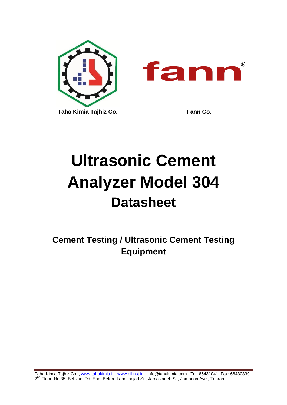

# **Ultrasonic Cement Analyzer Model 304 Datasheet**

**Cement Testing / Ultrasonic Cement Testing Equipment**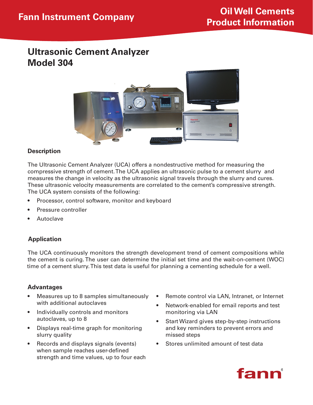# **Ultrasonic Cement Analyzer Model 304**



#### **Description**

The Ultrasonic Cement Analyzer (UCA) offers a nondestructive method for measuring the compressive strength of cement. The UCA applies an ultrasonic pulse to a cement slurry and measures the change in velocity as the ultrasonic signal travels through the slurry and cures. These ultrasonic velocity measurements are correlated to the cement's compressive strength. The UCA system consists of the following:

- Processor, control software, monitor and keyboard
- Pressure controller
- **Autoclave**

# **Application**

The UCA continuously monitors the strength development trend of cement compositions while the cement is curing. The user can determine the initial set time and the wait-on-cement (WOC) time of a cement slurry. This test data is useful for planning a cementing schedule for a well.

# **Advantages**

- Measures up to 8 samples simultaneously with additional autoclaves
- • Individually controls and monitors autoclaves, up to 8
- • Displays real-time graph for monitoring slurry quality
- Records and displays signals (events) when sample reaches user-defined strength and time values, up to four each
- Remote control via LAN, Intranet, or Internet
- Network-enabled for email reports and test monitoring via LAN
- Start Wizard gives step-by-step instructions and key reminders to prevent errors and missed steps
- • Stores unlimited amount of test data